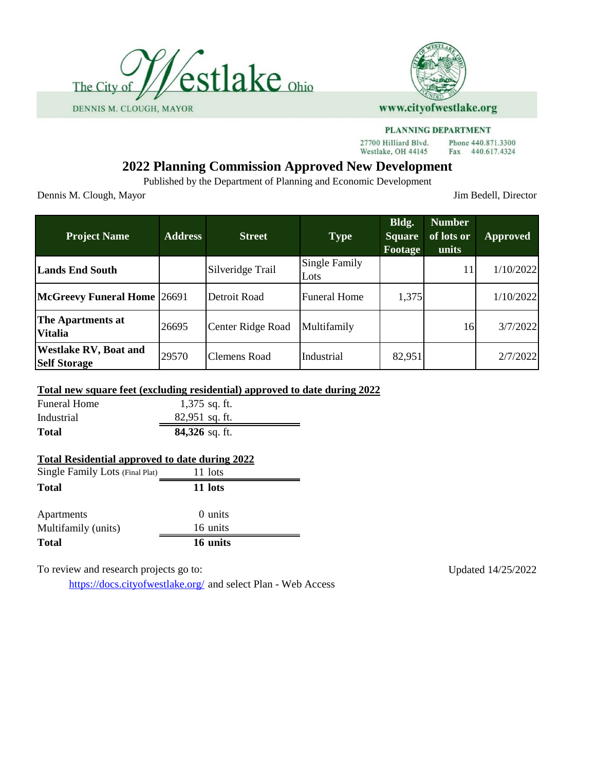



27700 Hilliard Blvd. Westlake, OH 44145

Phone 440.871.3300 Fax 440.617.4324

# **2022 Planning Commission Approved New Development**

Published by the Department of Planning and Economic Development

Dennis M. Clough, Mayor Jim Bedell, Director

| <b>Project Name</b>                                 | <b>Address</b> | <b>Street</b>       | <b>Type</b>                  | Bldg.<br><b>Square</b><br><b>Footage</b> | <b>Number</b><br>of lots or<br>units | <b>Approved</b> |
|-----------------------------------------------------|----------------|---------------------|------------------------------|------------------------------------------|--------------------------------------|-----------------|
| <b>Lands End South</b>                              |                | Silveridge Trail    | <b>Single Family</b><br>Lots |                                          | 11                                   | 1/10/2022       |
| McGreevy Funeral Home 26691                         |                | Detroit Road        | <b>Funeral Home</b>          | 1,375                                    |                                      | 1/10/2022       |
| The Apartments at<br><b>Vitalia</b>                 | 26695          | Center Ridge Road   | Multifamily                  |                                          | 16                                   | 3/7/2022        |
| <b>Westlake RV, Boat and</b><br><b>Self Storage</b> | 29570          | <b>Clemens Road</b> | Industrial                   | 82,951                                   |                                      | 2/7/2022        |

## **Total new square feet (excluding residential) approved to date during 2022**

| <b>Funeral Home</b> | $1,375$ sq. ft.  |
|---------------------|------------------|
| Industrial          | $82,951$ sq. ft. |
| <b>Total</b>        | $84,326$ sq. ft. |

#### **Total Residential approved to date during 2022**

| Single Family Lots (Final Plat) | 11 lots  |
|---------------------------------|----------|
| <b>Total</b>                    | 11 lots  |
| Apartments                      | 0 units  |
| Multifamily (units)             | 16 units |
| <b>Total</b>                    | 16 units |

To review and research projects go to: Updated 14/25/2022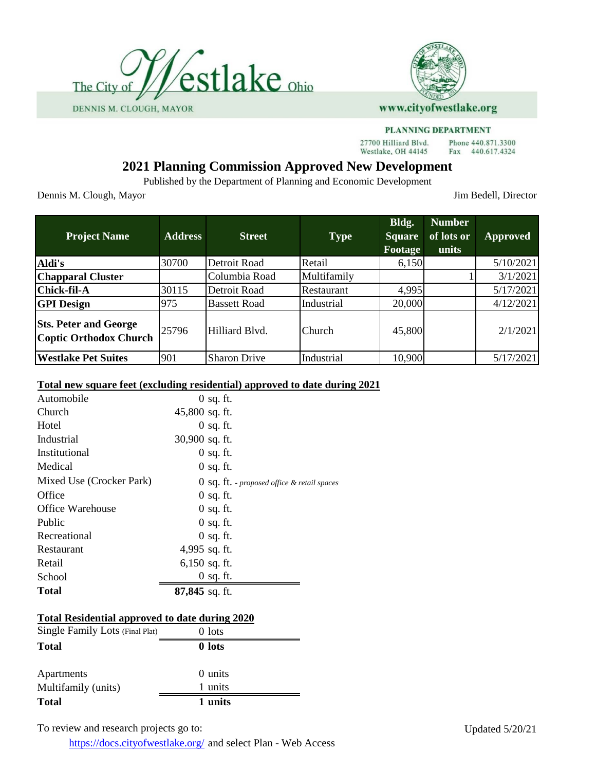



27700 Hilliard Blvd. Westlake, OH 44145

Phone 440.871.3300 Fax 440.617.4324

# **2021 Planning Commission Approved New Development**

Published by the Department of Planning and Economic Development

Dennis M. Clough, Mayor Jim Bedell, Director

| <b>Project Name</b>                                           | <b>Address</b> | <b>Street</b>       | <b>Type</b>   | Bldg.<br><b>Square</b><br>Footage | <b>Number</b><br>of lots or<br>units | <b>Approved</b> |
|---------------------------------------------------------------|----------------|---------------------|---------------|-----------------------------------|--------------------------------------|-----------------|
| Aldi's                                                        | 30700          | Detroit Road        | Retail        | 6,150                             |                                      | 5/10/2021       |
| <b>Chapparal Cluster</b>                                      |                | Columbia Road       | Multifamily   |                                   |                                      | 3/1/2021        |
| <b>Chick-fil-A</b>                                            | 30115          | Detroit Road        | Restaurant    | 4,995                             |                                      | 5/17/2021       |
| <b>GPI</b> Design                                             | 975            | <b>Bassett Road</b> | Industrial    | 20,000                            |                                      | 4/12/2021       |
| <b>Sts. Peter and George</b><br><b>Coptic Orthodox Church</b> | 25796          | Hilliard Blvd.      | <b>Church</b> | 45,800                            |                                      | 2/1/2021        |
| <b>Westlake Pet Suites</b>                                    | 901            | <b>Sharon Drive</b> | Industrial    | 10,900                            |                                      | 5/17/2021       |

## **Total new square feet (excluding residential) approved to date during 2021**

| Total                    | $87,845$ sq. ft. |                                               |
|--------------------------|------------------|-----------------------------------------------|
| School                   | $0$ sq. ft.      |                                               |
| Retail                   | $6,150$ sq. ft.  |                                               |
| Restaurant               | 4,995 sq. ft.    |                                               |
| Recreational             | $0$ sq. ft.      |                                               |
| Public                   | $0$ sq. ft.      |                                               |
| <b>Office Warehouse</b>  | $0$ sq. ft.      |                                               |
| Office                   | $0$ sq. ft.      |                                               |
| Mixed Use (Crocker Park) |                  | $0$ Sq. It. - proposed office & retail spaces |
| Medical                  | $0$ sq. ft.      |                                               |
| Institutional            | $0$ sq. ft.      |                                               |
| Industrial               | 30,900 sq. ft.   |                                               |
| Hotel                    | $0$ sq. ft.      |                                               |
| Church                   | 45,800 sq. ft.   |                                               |
| Automobile               | $0$ sq. ft.      |                                               |

#### **Total Residential approved to date during 2020**

| Single Family Lots (Final Plat) | $0$ lots |  |
|---------------------------------|----------|--|
| <b>Total</b>                    | 0 lots   |  |
| Apartments                      | 0 units  |  |
| Multifamily (units)             | 1 units  |  |
| <b>Total</b>                    | 1 units  |  |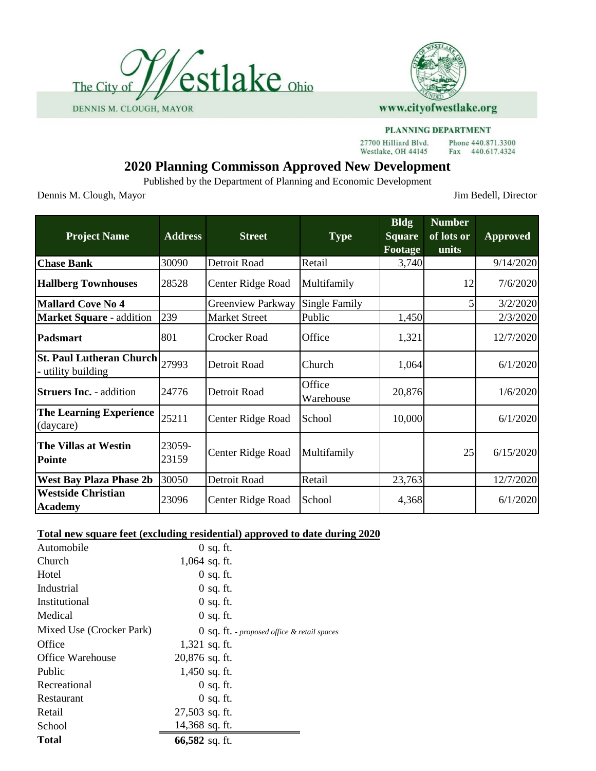



27700 Hilliard Blvd. Westlake, OH 44145

Phone 440.871.3300 Fax 440.617.4324

# **2020 Planning Commisson Approved New Development**

Published by the Department of Planning and Economic Development

Dennis M. Clough, Mayor Jim Bedell, Director

| <b>Project Name</b>                                   | <b>Address</b>  | <b>Street</b>            | <b>Type</b>          | <b>Bldg</b><br><b>Square</b><br>Footage | <b>Number</b><br>of lots or<br>units | <b>Approved</b> |
|-------------------------------------------------------|-----------------|--------------------------|----------------------|-----------------------------------------|--------------------------------------|-----------------|
| <b>Chase Bank</b>                                     | 30090           | Detroit Road             | Retail               | 3,740                                   |                                      | 9/14/2020       |
| <b>Hallberg Townhouses</b>                            | 28528           | Center Ridge Road        | Multifamily          |                                         | 12                                   | 7/6/2020        |
| <b>Mallard Cove No 4</b>                              |                 | <b>Greenview Parkway</b> | <b>Single Family</b> |                                         | 5                                    | 3/2/2020        |
| <b>Market Square - addition</b>                       | 239             | <b>Market Street</b>     | Public               | 1,450                                   |                                      | 2/3/2020        |
| <b>Padsmart</b>                                       | 801             | Crocker Road             | Office               | 1,321                                   |                                      | 12/7/2020       |
| <b>St. Paul Lutheran Church</b><br>- utility building | 27993           | Detroit Road             | Church               | 1,064                                   |                                      | 6/1/2020        |
| <b>Struers Inc. - addition</b>                        | 24776           | Detroit Road             | Office<br>Warehouse  | 20,876                                  |                                      | 1/6/2020        |
| <b>The Learning Experience</b><br>(daycare)           | 25211           | Center Ridge Road        | School               | 10,000                                  |                                      | 6/1/2020        |
| The Villas at Westin<br><b>Pointe</b>                 | 23059-<br>23159 | Center Ridge Road        | Multifamily          |                                         | 25                                   | 6/15/2020       |
| <b>West Bay Plaza Phase 2b</b>                        | 30050           | Detroit Road             | Retail               | 23,763                                  |                                      | 12/7/2020       |
| <b>Westside Christian</b><br><b>Academy</b>           | 23096           | Center Ridge Road        | School               | 4,368                                   |                                      | 6/1/2020        |

## **Total new square feet (excluding residential) approved to date during 2020**

| Automobile               | $0$ sq. ft.                                        |
|--------------------------|----------------------------------------------------|
| Church                   | $1,064$ sq. ft.                                    |
| Hotel                    | $0$ sq. ft.                                        |
| Industrial               | $0$ sq. ft.                                        |
| Institutional            | $0$ sq. ft.                                        |
| Medical                  | $0$ sq. ft.                                        |
| Mixed Use (Crocker Park) | $\theta$ Sq. It. - proposed office & retail spaces |
| Office                   | $1,321$ sq. ft.                                    |
| <b>Office Warehouse</b>  | $20,876$ sq. ft.                                   |
| Public                   | 1,450 sq. ft.                                      |
| Recreational             | $0$ sq. ft.                                        |
| Restaurant               | $0$ sq. ft.                                        |
| Retail                   | 27,503 sq. ft.                                     |
| School                   | 14,368 sq. ft.                                     |
| <b>Total</b>             | 66,582 sq. ft.                                     |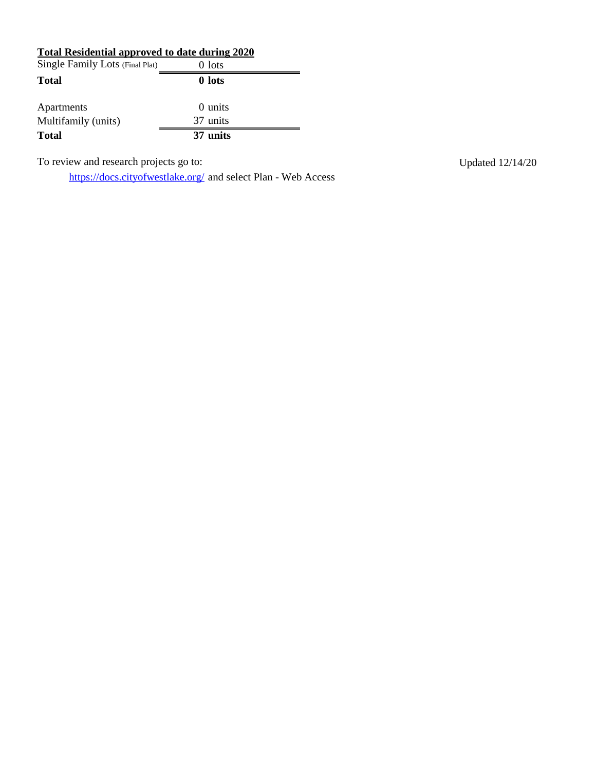## **Total Residential approved to date during 2020**

| Single Family Lots (Final Plat) | $0$ lots |
|---------------------------------|----------|
| <b>Total</b>                    | 0 lots   |
|                                 |          |
| Apartments                      | 0 units  |
| Multifamily (units)             | 37 units |
| <b>Total</b>                    | 37 units |

To review and research projects go to: Updated 12/14/20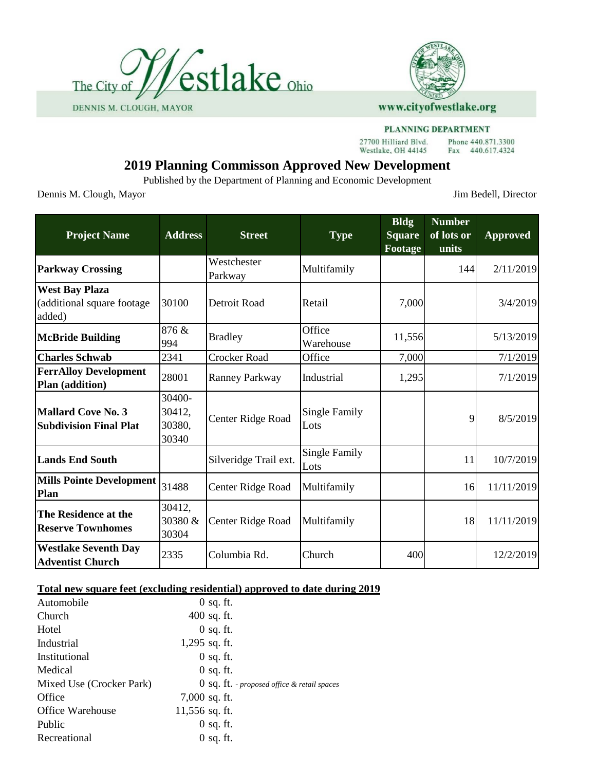



27700 Hilliard Blvd. Westlake, OH 44145

#### Phone 440.871.3300 Fax 440.617.4324

# **2019 Planning Commisson Approved New Development**

Published by the Department of Planning and Economic Development

Dennis M. Clough, Mayor Jim Bedell, Director

| <b>Project Name</b>                                           | <b>Address</b>                      | <b>Street</b>          | <b>Type</b>                  | <b>Bldg</b><br><b>Square</b><br>Footage | <b>Number</b><br>of lots or<br>units | <b>Approved</b> |
|---------------------------------------------------------------|-------------------------------------|------------------------|------------------------------|-----------------------------------------|--------------------------------------|-----------------|
| <b>Parkway Crossing</b>                                       |                                     | Westchester<br>Parkway | Multifamily                  |                                         | 144                                  | 2/11/2019       |
| <b>West Bay Plaza</b><br>(additional square footage<br>added) | 30100                               | Detroit Road           | Retail                       | 7,000                                   |                                      | 3/4/2019        |
| <b>McBride Building</b>                                       | 876 &<br>994                        | <b>Bradley</b>         | Office<br>Warehouse          | 11,556                                  |                                      | 5/13/2019       |
| <b>Charles Schwab</b>                                         | 2341                                | Crocker Road           | Office                       | 7,000                                   |                                      | 7/1/2019        |
| <b>FerrAlloy Development</b><br>Plan (addition)               | 28001                               | Ranney Parkway         | Industrial                   | 1,295                                   |                                      | 7/1/2019        |
| <b>Mallard Cove No. 3</b><br><b>Subdivision Final Plat</b>    | 30400-<br>30412,<br>30380,<br>30340 | Center Ridge Road      | <b>Single Family</b><br>Lots |                                         | 9                                    | 8/5/2019        |
| <b>Lands End South</b>                                        |                                     | Silveridge Trail ext.  | <b>Single Family</b><br>Lots |                                         | 11                                   | 10/7/2019       |
| <b>Mills Pointe Development</b><br>Plan                       | 31488                               | Center Ridge Road      | Multifamily                  |                                         | 16                                   | 11/11/2019      |
| The Residence at the<br><b>Reserve Townhomes</b>              | 30412,<br>30380 &<br>30304          | Center Ridge Road      | Multifamily                  |                                         | 18                                   | 11/11/2019      |
| <b>Westlake Seventh Day</b><br><b>Adventist Church</b>        | 2335                                | Columbia Rd.           | Church                       | 400                                     |                                      | 12/2/2019       |

#### **Total new square feet (excluding residential) approved to date during 2019**

| Automobile               | $0$ sq. ft.                                   |
|--------------------------|-----------------------------------------------|
| Church                   | $400$ sq. ft.                                 |
| Hotel                    | $0$ sq. ft.                                   |
| Industrial               | $1,295$ sq. ft.                               |
| Institutional            | $0$ sq. ft.                                   |
| Medical                  | $0$ sq. ft.                                   |
| Mixed Use (Crocker Park) | $0$ Sq. It. - proposed office & retail spaces |
| Office                   | $7,000$ sq. ft.                               |
| <b>Office Warehouse</b>  | $11,556$ sq. ft.                              |
| Public                   | $0$ sq. ft.                                   |
| Recreational             | $0$ sq. ft.                                   |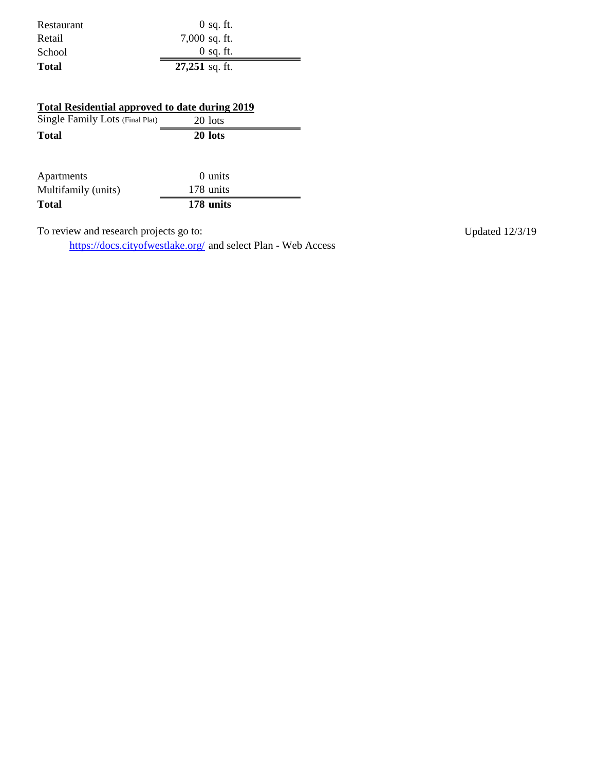| Restaurant | $0$ sq. ft.      |
|------------|------------------|
| Retail     | $7,000$ sq. ft.  |
| School     | $0$ sq. ft.      |
| Total      | $27,251$ sq. ft. |

| <b>Total Residential approved to date during 2019</b> |           |  |  |  |
|-------------------------------------------------------|-----------|--|--|--|
| Single Family Lots (Final Plat)                       | 20 lots   |  |  |  |
| <b>Total</b>                                          | 20 lots   |  |  |  |
| Apartments                                            | 0 units   |  |  |  |
| Multifamily (units)                                   | 178 units |  |  |  |

**Total 178 units**

To review and research projects go to: Updated 12/3/19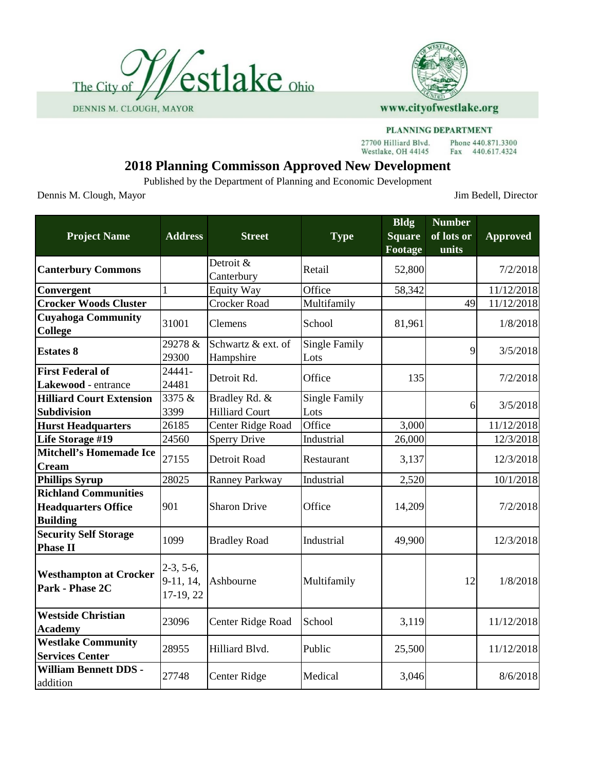



#### PLANNING DEPARTMENT

27700 Hilliard Blvd. Westlake, OH 44145

Phone 440.871.3300 Fax 440.617.4324

# **2018 Planning Commisson Approved New Development**

Published by the Department of Planning and Economic Development

Dennis M. Clough, Mayor Jim Bedell, Director

| <b>Project Name</b>                                                          | <b>Address</b>                        | <b>Street</b>                          | <b>Type</b>                  | <b>Bldg</b><br><b>Square</b><br>Footage | <b>Number</b><br>of lots or<br>units | <b>Approved</b> |
|------------------------------------------------------------------------------|---------------------------------------|----------------------------------------|------------------------------|-----------------------------------------|--------------------------------------|-----------------|
| <b>Canterbury Commons</b>                                                    |                                       | Detroit &<br>Canterbury                | Retail                       | 52,800                                  |                                      | 7/2/2018        |
| Convergent                                                                   | 1                                     | <b>Equity Way</b>                      | Office                       | 58,342                                  |                                      | 11/12/2018      |
| <b>Crocker Woods Cluster</b>                                                 |                                       | <b>Crocker Road</b>                    | Multifamily                  |                                         | 49                                   | 11/12/2018      |
| <b>Cuyahoga Community</b><br><b>College</b>                                  | 31001                                 | Clemens                                | School                       | 81,961                                  |                                      | 1/8/2018        |
| <b>Estates 8</b>                                                             | 29278 &<br>29300                      | Schwartz & ext. of<br>Hampshire        | <b>Single Family</b><br>Lots |                                         | 9                                    | 3/5/2018        |
| <b>First Federal of</b><br>Lakewood - entrance                               | 24441-<br>24481                       | Detroit Rd.                            | Office                       | 135                                     |                                      | 7/2/2018        |
| <b>Hilliard Court Extension</b><br><b>Subdivision</b>                        | 3375 &<br>3399                        | Bradley Rd. &<br><b>Hilliard Court</b> | <b>Single Family</b><br>Lots |                                         | 6                                    | 3/5/2018        |
| <b>Hurst Headquarters</b>                                                    | 26185                                 | Center Ridge Road                      | Office                       | 3,000                                   |                                      | 11/12/2018      |
| Life Storage #19                                                             | 24560                                 | <b>Sperry Drive</b>                    | Industrial                   | 26,000                                  |                                      | 12/3/2018       |
| <b>Mitchell's Homemade Ice</b><br><b>Cream</b>                               | 27155                                 | Detroit Road                           | Restaurant                   | 3,137                                   |                                      | 12/3/2018       |
| <b>Phillips Syrup</b>                                                        | 28025                                 | <b>Ranney Parkway</b>                  | Industrial                   | 2,520                                   |                                      | 10/1/2018       |
| <b>Richland Communities</b><br><b>Headquarters Office</b><br><b>Building</b> | 901                                   | <b>Sharon Drive</b>                    | Office                       | 14,209                                  |                                      | 7/2/2018        |
| <b>Security Self Storage</b><br><b>Phase II</b>                              | 1099                                  | <b>Bradley Road</b>                    | Industrial                   | 49,900                                  |                                      | 12/3/2018       |
| <b>Westhampton at Crocker</b><br>Park - Phase 2C                             | $2-3, 5-6,$<br>9-11, 14,<br>17-19, 22 | Ashbourne                              | Multifamily                  |                                         | 12                                   | 1/8/2018        |
| <b>Westside Christian</b><br><b>Academy</b>                                  | 23096                                 | Center Ridge Road                      | School                       | 3,119                                   |                                      | 11/12/2018      |
| <b>Westlake Community</b><br><b>Services Center</b>                          | 28955                                 | Hilliard Blvd.                         | Public                       | 25,500                                  |                                      | 11/12/2018      |
| <b>William Bennett DDS -</b><br>addition                                     | 27748                                 | Center Ridge                           | Medical                      | 3,046                                   |                                      | 8/6/2018        |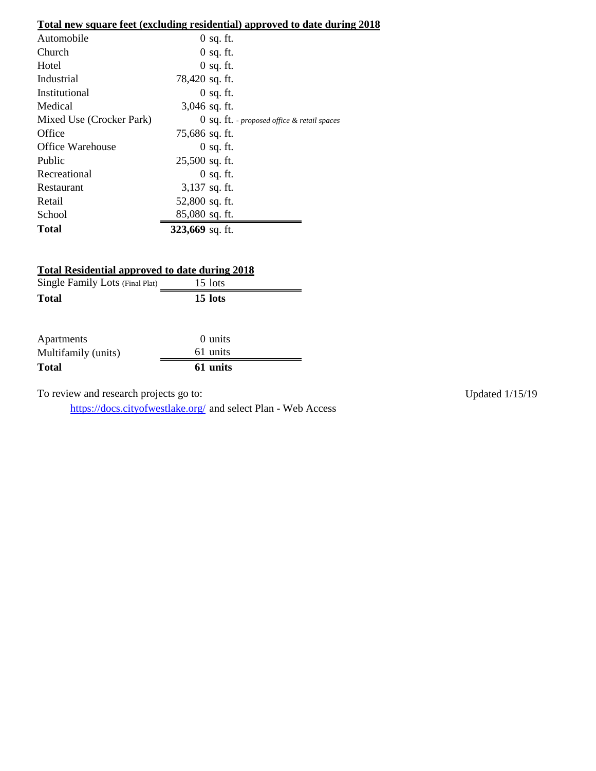## **Total new square feet (excluding residential) approved to date during 2018**

| Automobile               | $0$ sq. ft.                                        |
|--------------------------|----------------------------------------------------|
| Church                   | $0$ sq. ft.                                        |
| Hotel                    | $0$ sq. ft.                                        |
| Industrial               | 78,420 sq. ft.                                     |
| Institutional            | $0$ sq. ft.                                        |
| Medical                  | $3,046$ sq. ft.                                    |
| Mixed Use (Crocker Park) | $\theta$ sq. It. - proposed office & retail spaces |
| Office                   | 75,686 sq. ft.                                     |
| <b>Office Warehouse</b>  | $0$ sq. ft.                                        |
| Public                   | 25,500 sq. ft.                                     |
| Recreational             | $0$ sq. ft.                                        |
| Restaurant               | $3,137$ sq. ft.                                    |
| Retail                   | 52,800 sq. ft.                                     |
| School                   | 85,080 sq. ft.                                     |
| Total                    | 323,669 sq. ft.                                    |

## **Total Residential approved to date during 2018**

| Single Family Lots (Final Plat) | 15 lots |
|---------------------------------|---------|
| <b>Total</b>                    | 15 lots |
|                                 |         |

| Apartments          | 0 units  |  |
|---------------------|----------|--|
| Multifamily (units) | 61 units |  |
| <b>Total</b>        | 61 units |  |

To review and research projects go to: Updated 1/15/19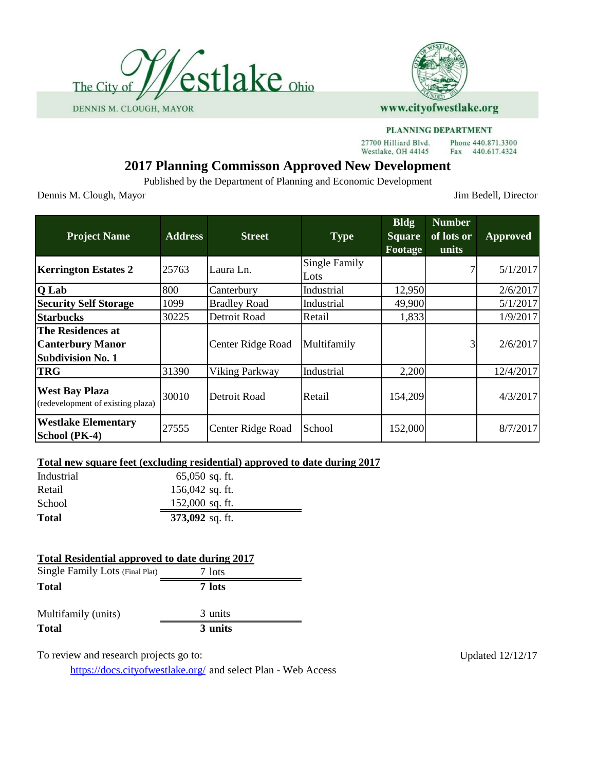



#### PLANNING DEPARTMENT

27700 Hilliard Blvd. Westlake, OH 44145

Phone 440.871.3300 Fax 440.617.4324

# **2017 Planning Commisson Approved New Development**

Published by the Department of Planning and Economic Development

Dennis M. Clough, Mayor Jim Bedell, Director

| <b>Project Name</b>                                                      | <b>Address</b> | <b>Street</b>         | <b>Type</b>                  | <b>Bldg</b><br><b>Square</b><br>Footage | <b>Number</b><br>of lots or<br>units | <b>Approved</b> |
|--------------------------------------------------------------------------|----------------|-----------------------|------------------------------|-----------------------------------------|--------------------------------------|-----------------|
| <b>Kerrington Estates 2</b>                                              | 25763          | Laura Ln.             | <b>Single Family</b><br>Lots |                                         |                                      | 5/1/2017        |
| Q Lab                                                                    | 800            | Canterbury            | Industrial                   | 12,950                                  |                                      | 2/6/2017        |
| <b>Security Self Storage</b>                                             | 1099           | <b>Bradley Road</b>   | Industrial                   | 49,900                                  |                                      | 5/1/2017        |
| <b>Starbucks</b>                                                         | 30225          | Detroit Road          | Retail                       | 1,833                                   |                                      | 1/9/2017        |
| The Residences at<br><b>Canterbury Manor</b><br><b>Subdivision No. 1</b> |                | Center Ridge Road     | Multifamily                  |                                         |                                      | 2/6/2017        |
| <b>TRG</b>                                                               | 31390          | <b>Viking Parkway</b> | Industrial                   | 2,200                                   |                                      | 12/4/2017       |
| <b>West Bay Plaza</b><br>(redevelopment of existing plaza)               | 30010          | Detroit Road          | Retail                       | 154,209                                 |                                      | 4/3/2017        |
| <b>Westlake Elementary</b><br>School (PK-4)                              | 27555          | Center Ridge Road     | School                       | 152,000                                 |                                      | 8/7/2017        |

## **Total new square feet (excluding residential) approved to date during 2017**

| Retail<br>School | $156,042$ sq. ft.<br>$152,000$ sq. ft. |  |
|------------------|----------------------------------------|--|
| Total            | $373,092$ sq. ft.                      |  |

## **Total Residential approved to date during 2017**

| Single Family Lots (Final Plat) | 7 lots  |
|---------------------------------|---------|
| <b>Total</b>                    | 7 lots  |
| Multifamily (units)             | 3 units |
| <b>Total</b>                    | 3 units |

To review and research projects go to: Updated 12/12/17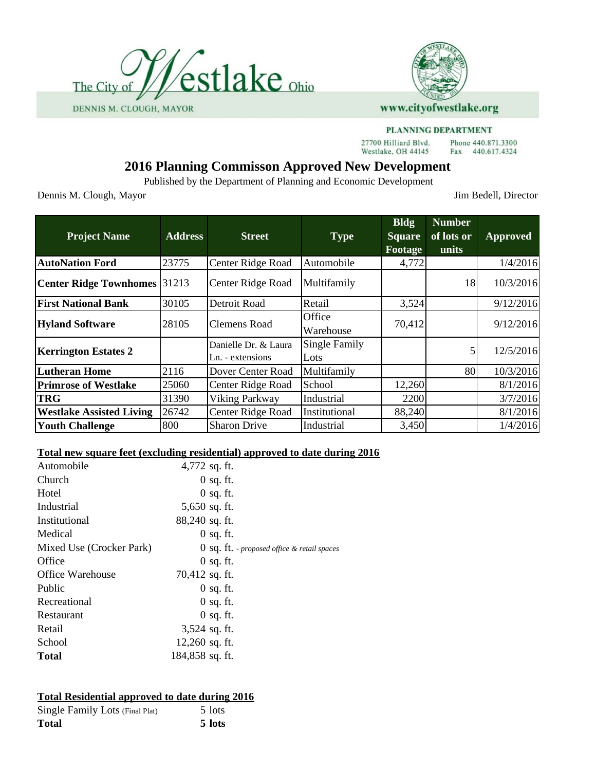



#### PLANNING DEPARTMENT

27700 Hilliard Blvd. Westlake, OH 44145

Phone 440.871.3300 Fax 440.617.4324

# **2016 Planning Commisson Approved New Development**

Published by the Department of Planning and Economic Development

Dennis M. Clough, Mayor Jim Bedell, Director

| <b>Project Name</b>             | <b>Address</b> | <b>Street</b>                            | <b>Type</b>           | <b>Bldg</b><br><b>Square</b><br><b>Footage</b> | <b>Number</b><br>of lots or<br>units | <b>Approved</b> |
|---------------------------------|----------------|------------------------------------------|-----------------------|------------------------------------------------|--------------------------------------|-----------------|
| <b>AutoNation Ford</b>          | 23775          | Center Ridge Road                        | Automobile            | 4,772                                          |                                      | 1/4/2016        |
| <b>Center Ridge Townhomes</b>   | 31213          | Center Ridge Road                        | Multifamily           |                                                | 18                                   | 10/3/2016       |
| <b>First National Bank</b>      | 30105          | Detroit Road                             | Retail                | 3,524                                          |                                      | 9/12/2016       |
| <b>Hyland Software</b>          | 28105          | <b>Clemens Road</b>                      | Office<br>Warehouse   | 70,412                                         |                                      | 9/12/2016       |
| <b>Kerrington Estates 2</b>     |                | Danielle Dr. & Laura<br>Ln. - extensions | Single Family<br>Lots |                                                |                                      | 12/5/2016       |
| <b>Lutheran Home</b>            | 2116           | Dover Center Road                        | Multifamily           |                                                | 80                                   | 10/3/2016       |
| <b>Primrose of Westlake</b>     | 25060          | Center Ridge Road                        | School                | 12,260                                         |                                      | 8/1/2016        |
| <b>TRG</b>                      | 31390          | Viking Parkway                           | Industrial            | 2200                                           |                                      | 3/7/2016        |
| <b>Westlake Assisted Living</b> | 26742          | Center Ridge Road                        | Institutional         | 88,240                                         |                                      | 8/1/2016        |
| <b>Youth Challenge</b>          | 800            | <b>Sharon Drive</b>                      | Industrial            | 3,450                                          |                                      | 1/4/2016        |

## **Total new square feet (excluding residential) approved to date during 2016**

| Automobile               | 4,772 sq. ft.                                 |
|--------------------------|-----------------------------------------------|
| <b>Church</b>            | $0$ sq. ft.                                   |
| Hotel                    | $0$ sq. ft.                                   |
| Industrial               | $5,650$ sq. ft.                               |
| Institutional            | 88,240 sq. ft.                                |
| Medical                  | $0$ sq. ft.                                   |
| Mixed Use (Crocker Park) | $0$ sq. It. - proposed office & retail spaces |
| Office                   | $0$ sq. ft.                                   |
| <b>Office Warehouse</b>  | 70,412 sq. ft.                                |
| Public                   | $0$ sq. ft.                                   |
| Recreational             | $0$ sq. ft.                                   |
| Restaurant               | $0$ sq. ft.                                   |
| Retail                   | $3,524$ sq. ft.                               |
| School                   | $12,260$ sq. ft.                              |
| <b>Total</b>             | 184,858 sq. ft.                               |

## **Total Residential approved to date during 2016**

| Single Family Lots (Final Plat) | 5 lots |
|---------------------------------|--------|
| <b>Total</b>                    | 5 lots |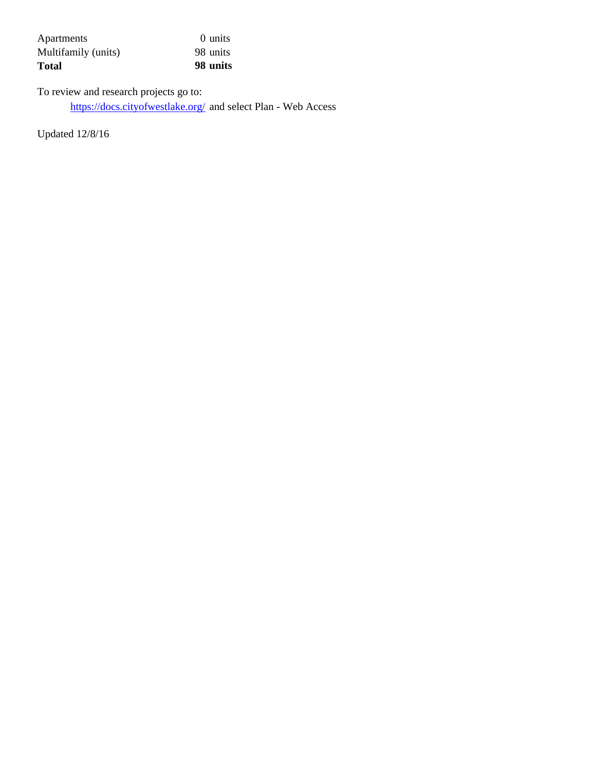| <b>Total</b>        | 98 units |
|---------------------|----------|
| Multifamily (units) | 98 units |
| Apartments          | 0 units  |

To review and research projects go to: https://docs.cityofwestlake.org/ and select Plan - Web Access

Updated 12/8/16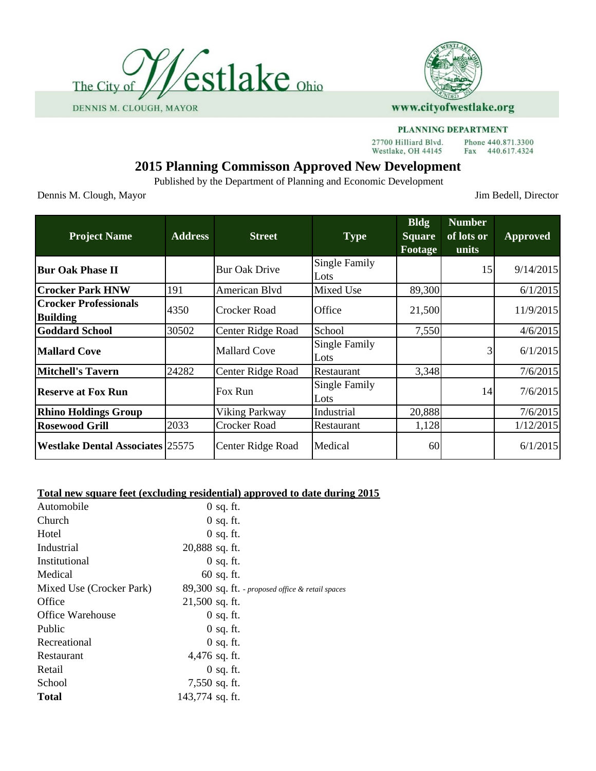



27700 Hilliard Blvd. Westlake, OH 44145

# **2015 Planning Commisson Approved New Development**

Published by the Department of Planning and Economic Development

Dennis M. Clough, Mayor Jim Bedell, Director

Phone 440.871.3300

Fax 440.617.4324

| <b>Project Name</b>                             | <b>Address</b> | <b>Street</b>         | <b>Type</b>           | <b>Bldg</b><br><b>Square</b><br>Footage | <b>Number</b><br>of lots or<br>units | <b>Approved</b> |
|-------------------------------------------------|----------------|-----------------------|-----------------------|-----------------------------------------|--------------------------------------|-----------------|
| <b>Bur Oak Phase II</b>                         |                | <b>Bur Oak Drive</b>  | Single Family<br>Lots |                                         | 15                                   | 9/14/2015       |
| <b>Crocker Park HNW</b>                         | 191            | American Blvd         | Mixed Use             | 89,300                                  |                                      | 6/1/2015        |
| <b>Crocker Professionals</b><br><b>Building</b> | 4350           | <b>Crocker Road</b>   | Office                | 21,500                                  |                                      | 11/9/2015       |
| <b>Goddard School</b>                           | 30502          | Center Ridge Road     | School                | 7,550                                   |                                      | 4/6/2015        |
| Mallard Cove                                    |                | <b>Mallard Cove</b>   | Single Family<br>Lots |                                         | 3                                    | 6/1/2015        |
| <b>Mitchell's Tavern</b>                        | 24282          | Center Ridge Road     | Restaurant            | 3,348                                   |                                      | 7/6/2015        |
| <b>Reserve at Fox Run</b>                       |                | Fox Run               | Single Family<br>Lots |                                         | 14                                   | 7/6/2015        |
| <b>Rhino Holdings Group</b>                     |                | <b>Viking Parkway</b> | Industrial            | 20,888                                  |                                      | 7/6/2015        |
| <b>Rosewood Grill</b>                           | 2033           | Crocker Road          | Restaurant            | 1,128                                   |                                      | 1/12/2015       |
| <b>Westlake Dental Associates 25575</b>         |                | Center Ridge Road     | Medical               | 60                                      |                                      | 6/1/2015        |

#### **Total new square feet (excluding residential) approved to date during 2015**

| Automobile               | $0$ sq. ft.                                      |
|--------------------------|--------------------------------------------------|
| Church                   | $0$ sq. ft.                                      |
| Hotel                    | $0$ sq. ft.                                      |
| Industrial               | 20,888 sq. ft.                                   |
| Institutional            | $0$ sq. ft.                                      |
| Medical                  | $60$ sq. ft.                                     |
| Mixed Use (Crocker Park) | 89,300 sq. ft. - proposed office & retail spaces |
| Office                   | $21,500$ sq. ft.                                 |
| Office Warehouse         | $0$ sq. ft.                                      |
| Public                   | $0$ sq. ft.                                      |
| Recreational             | $0$ sq. ft.                                      |
| Restaurant               | 4,476 sq. ft.                                    |
| Retail                   | $0$ sq. ft.                                      |
| School                   | 7,550 sq. ft.                                    |
| <b>Total</b>             | 143,774 sq. ft.                                  |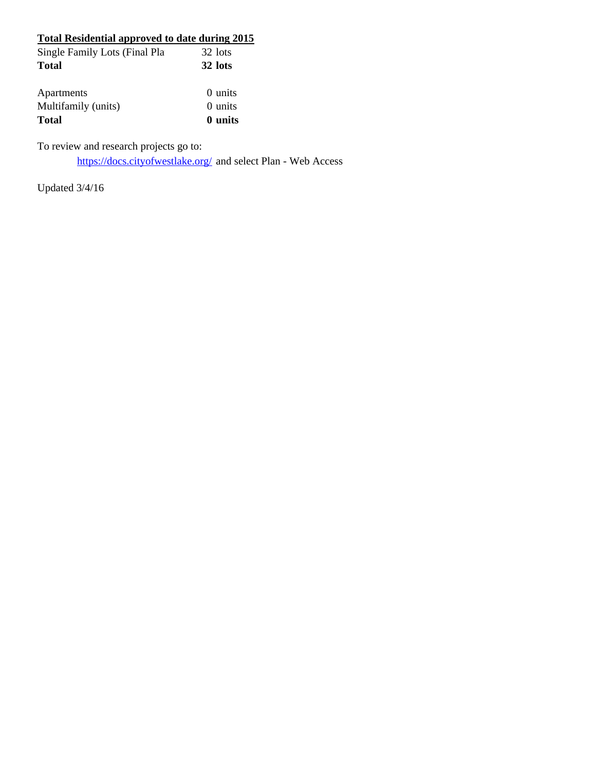| Total Residential approved to date during 2015 |           |
|------------------------------------------------|-----------|
| Single Family Lots (Final Pla                  | 32 lots   |
| Total                                          | 32 lots   |
| Apartments                                     | 0 units   |
| Multifamily (units)                            | $0$ units |
| Total                                          | 0 units   |

To review and research projects go to:

https://docs.cityofwestlake.org/ and select Plan - Web Access

Updated 3/4/16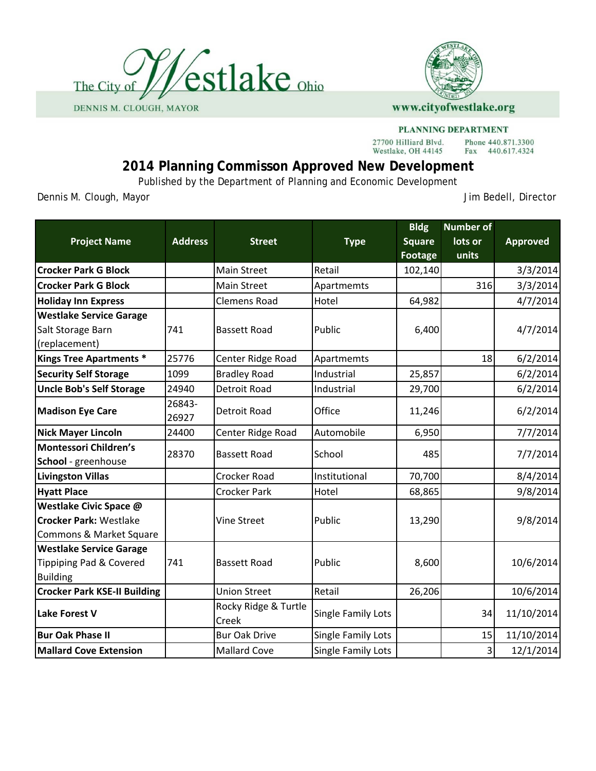



#### PLANNING DEPARTMENT Phone 440.871.3300

27700 Hilliard Blvd. Westlake, OH 44145

# **2014 Planning Commisson Approved New Development**

Published by the Department of Planning and Economic Development

Dennis M. Clough, Mayor **Dennis M. Clough, Mayor** 

Fax 440.617.4324

| <b>Project Name</b>                                                                | <b>Address</b>  | <b>Street</b>                 | <b>Type</b>               | <b>Bldg</b><br><b>Square</b><br><b>Footage</b> | <b>Number of</b><br>lots or<br>units | <b>Approved</b> |
|------------------------------------------------------------------------------------|-----------------|-------------------------------|---------------------------|------------------------------------------------|--------------------------------------|-----------------|
| <b>Crocker Park G Block</b>                                                        |                 | <b>Main Street</b>            | Retail                    | 102,140                                        |                                      | 3/3/2014        |
| <b>Crocker Park G Block</b>                                                        |                 | <b>Main Street</b>            | Apartmemts                |                                                | 316                                  | 3/3/2014        |
| <b>Holiday Inn Express</b>                                                         |                 | <b>Clemens Road</b>           | Hotel                     | 64,982                                         |                                      | 4/7/2014        |
| <b>Westlake Service Garage</b>                                                     |                 |                               |                           |                                                |                                      |                 |
| Salt Storage Barn                                                                  | 741             | <b>Bassett Road</b>           | Public                    | 6,400                                          |                                      | 4/7/2014        |
| (replacement)                                                                      |                 |                               |                           |                                                |                                      |                 |
| <b>Kings Tree Apartments *</b>                                                     | 25776           | Center Ridge Road             | Apartmemts                |                                                | 18                                   | 6/2/2014        |
| <b>Security Self Storage</b>                                                       | 1099            | <b>Bradley Road</b>           | Industrial                | 25,857                                         |                                      | 6/2/2014        |
| <b>Uncle Bob's Self Storage</b>                                                    | 24940           | Detroit Road                  | Industrial                | 29,700                                         |                                      | 6/2/2014        |
| <b>Madison Eye Care</b>                                                            | 26843-<br>26927 | <b>Detroit Road</b>           | Office                    | 11,246                                         |                                      | 6/2/2014        |
| <b>Nick Mayer Lincoln</b>                                                          | 24400           | Center Ridge Road             | Automobile                | 6,950                                          |                                      | 7/7/2014        |
| Montessori Children's<br>School - greenhouse                                       | 28370           | <b>Bassett Road</b>           | School                    | 485                                            |                                      | 7/7/2014        |
| <b>Livingston Villas</b>                                                           |                 | Crocker Road                  | Institutional             | 70,700                                         |                                      | 8/4/2014        |
| <b>Hyatt Place</b>                                                                 |                 | <b>Crocker Park</b>           | Hotel                     | 68,865                                         |                                      | 9/8/2014        |
| Westlake Civic Space @<br><b>Crocker Park: Westlake</b><br>Commons & Market Square |                 | <b>Vine Street</b>            | Public                    | 13,290                                         |                                      | 9/8/2014        |
| <b>Westlake Service Garage</b><br>Tippiping Pad & Covered<br><b>Building</b>       | 741             | <b>Bassett Road</b>           | Public                    | 8,600                                          |                                      | 10/6/2014       |
| <b>Crocker Park KSE-II Building</b>                                                |                 | <b>Union Street</b>           | Retail                    | 26,206                                         |                                      | 10/6/2014       |
| <b>Lake Forest V</b>                                                               |                 | Rocky Ridge & Turtle<br>Creek | <b>Single Family Lots</b> |                                                | 34                                   | 11/10/2014      |
| <b>Bur Oak Phase II</b>                                                            |                 | <b>Bur Oak Drive</b>          | Single Family Lots        |                                                | 15                                   | 11/10/2014      |
| <b>Mallard Cove Extension</b>                                                      |                 | <b>Mallard Cove</b>           | <b>Single Family Lots</b> |                                                | 3                                    | 12/1/2014       |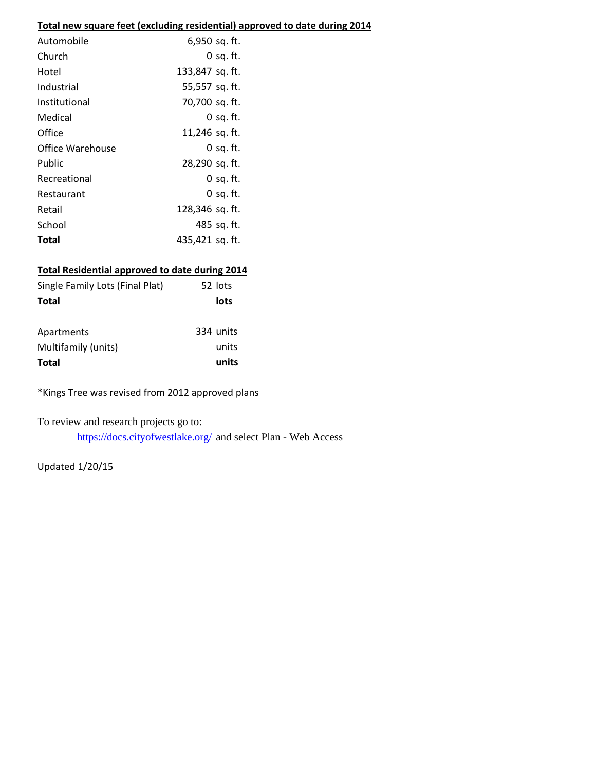## **Total new square feet (excluding residential) approved to date during 2014**

| Automobile       | 6,950 sq. ft.   |
|------------------|-----------------|
| Church           | $0$ sq. ft.     |
| Hotel            | 133,847 sq. ft. |
| Industrial       | 55,557 sq. ft.  |
| Institutional    | 70,700 sq. ft.  |
| Medical          | $0$ sq. ft.     |
| Office           | 11,246 sq. ft.  |
| Office Warehouse | $0$ sq. ft.     |
| Public           | 28,290 sq. ft.  |
| Recreational     | $0$ sq. ft.     |
| Restaurant       | $0$ sq. ft.     |
| Retail           | 128,346 sq. ft. |
| School           | 485 sq. ft.     |
| Total            | 435,421 sq. ft. |

## **Total Residential approved to date during 2014**

| Single Family Lots (Final Plat) | 52 lots   |
|---------------------------------|-----------|
| <b>Total</b>                    | lots      |
|                                 |           |
| Apartments                      | 334 units |
| Multifamily (units)             | units     |
| <b>Total</b>                    | units     |

\*Kings Tree was revised from 2012 approved plans

To review and research projects go to:

https://docs.cityofwestlake.org/ and select Plan - Web Access

Updated 1/20/15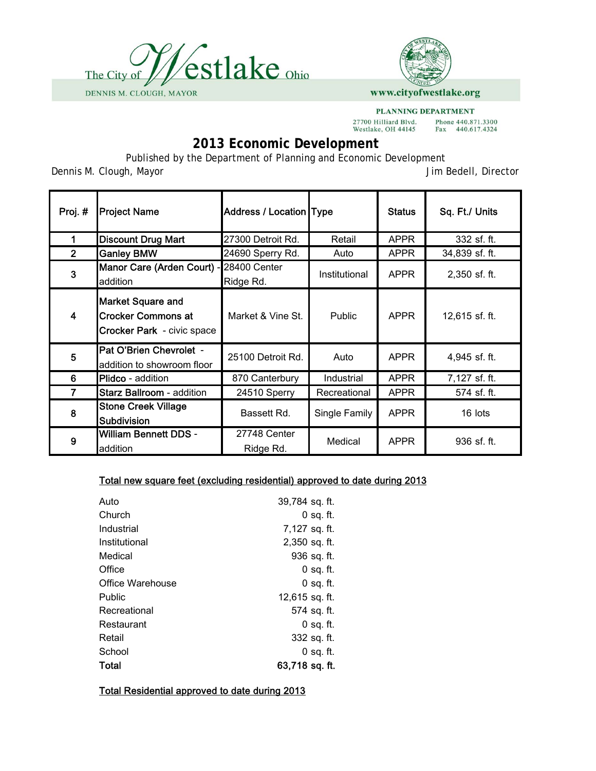



PLANNING DEPARTMENT 27700 Hilliard Blvd.<br>Westlake, OH 44145 Phone 440.871.3300<br>Fax 440.617.4324

# **2013 Economic Development**

Published by the Department of Planning and Economic Development

Dennis M. Clough, Mayor Jim Bedell, Director

| Proj.#         | <b>Project Name</b>                                                                        | Address / Location Type   |               | <b>Status</b> | Sq. Ft./ Units |
|----------------|--------------------------------------------------------------------------------------------|---------------------------|---------------|---------------|----------------|
|                | <b>Discount Drug Mart</b>                                                                  | 27300 Detroit Rd.         | Retail        | <b>APPR</b>   | 332 sf. ft.    |
| $\overline{2}$ | <b>Ganley BMW</b>                                                                          | 24690 Sperry Rd.          | Auto          | <b>APPR</b>   | 34,839 sf. ft. |
| 3              | Manor Care (Arden Court) -<br>addition                                                     | 28400 Center<br>Ridge Rd. | Institutional | <b>APPR</b>   | 2,350 sf. ft.  |
| 4              | <b>Market Square and</b><br><b>Crocker Commons at</b><br><b>Crocker Park</b> - civic space | Market & Vine St.         | Public        | <b>APPR</b>   | 12,615 sf. ft. |
| 5              | Pat O'Brien Chevrolet -<br>addition to showroom floor                                      | 25100 Detroit Rd.         | Auto          | <b>APPR</b>   | 4,945 sf. ft.  |
| 6              | <b>Plidco</b> - addition                                                                   | 870 Canterbury            | Industrial    | <b>APPR</b>   | 7,127 sf. ft.  |
| 7              | <b>Starz Ballroom</b> - addition                                                           | 24510 Sperry              | Recreational  | <b>APPR</b>   | 574 sf. ft.    |
| 8              | <b>Stone Creek Village</b><br><b>Subdivision</b>                                           | Bassett Rd.               | Single Family | <b>APPR</b>   | 16 lots        |
| 9              | <b>William Bennett DDS -</b><br>addition                                                   | 27748 Center<br>Ridge Rd. | Medical       | <b>APPR</b>   | 936 sf. ft.    |

## Total new square feet (excluding residential) approved to date during 2013

| Auto             | 39,784 sq. ft. |
|------------------|----------------|
| Church           | 0 sq. ft.      |
| Industrial       | 7,127 sq. ft.  |
| Institutional    | 2,350 sq. ft.  |
| Medical          | 936 sq. ft.    |
| Office           | 0 sq. ft.      |
| Office Warehouse | 0 sq. ft.      |
| Public           | 12,615 sq. ft. |
| Recreational     | 574 sq. ft.    |
| Restaurant       | $0$ sq. ft.    |
| Retail           | 332 sq. ft.    |
| School           | 0 sq. ft.      |
| Total            | 63,718 sq. ft. |

Total Residential approved to date during 2013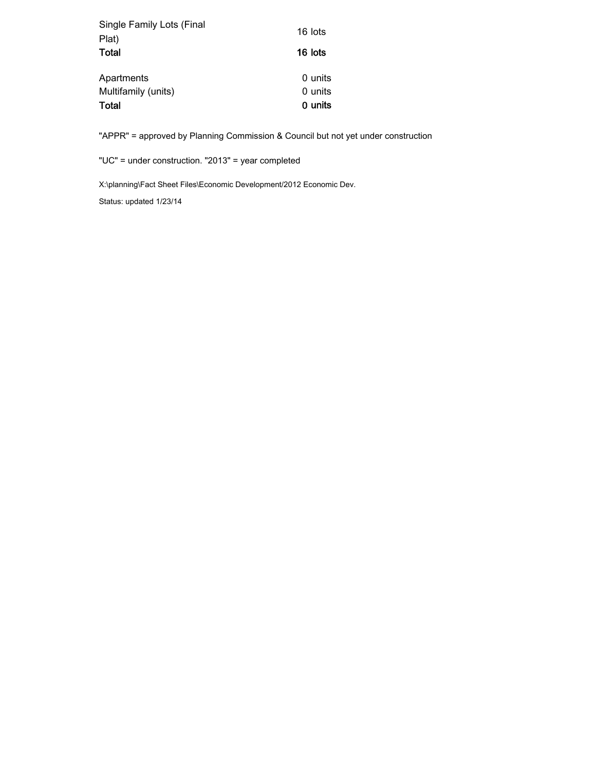| Single Family Lots (Final | 16 lots |
|---------------------------|---------|
| Plat)                     |         |
| Total                     | 16 lots |
| Apartments                | 0 units |
| Multifamily (units)       | 0 units |
| Total                     | 0 units |

"APPR" = approved by Planning Commission & Council but not yet under construction

"UC" = under construction. "2013" = year completed

X:\planning\Fact Sheet Files\Economic Development/2012 Economic Dev.

Status: updated 1/23/14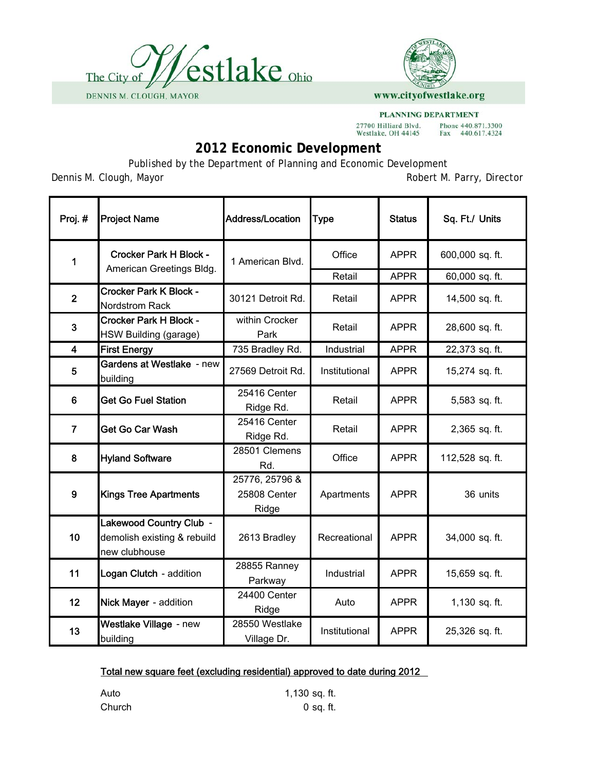



27700 Hilliard Blvd.<br>Westlake, OH 44145

Phone 440.871.3300<br>Fax 440.617.4324

# **2012 Economic Development**

Published by the Department of Planning and Economic Development

Dennis M. Clough, Mayor **New York Construction** Robert M. Parry, Director

| Proj. #        | <b>Project Name</b>                                                     | <b>Address/Location</b>                 | <b>Type</b>   | <b>Status</b> | Sq. Ft./ Units  |
|----------------|-------------------------------------------------------------------------|-----------------------------------------|---------------|---------------|-----------------|
| 1              | <b>Crocker Park H Block -</b><br>American Greetings Bldg.               | 1 American Blvd.                        | Office        | <b>APPR</b>   | 600,000 sq. ft. |
|                |                                                                         |                                         | Retail        | <b>APPR</b>   | 60,000 sq. ft.  |
| $\overline{2}$ | <b>Crocker Park K Block -</b><br>Nordstrom Rack                         | 30121 Detroit Rd.                       | Retail        | <b>APPR</b>   | 14,500 sq. ft.  |
| 3              | <b>Crocker Park H Block -</b><br>HSW Building (garage)                  | within Crocker<br>Park                  | Retail        | <b>APPR</b>   | 28,600 sq. ft.  |
| 4              | <b>First Energy</b>                                                     | 735 Bradley Rd.                         | Industrial    | <b>APPR</b>   | 22,373 sq. ft.  |
| 5              | Gardens at Westlake - new<br>building                                   | 27569 Detroit Rd.                       | Institutional | <b>APPR</b>   | 15,274 sq. ft.  |
| 6              | <b>Get Go Fuel Station</b>                                              | 25416 Center<br>Ridge Rd.               | Retail        | <b>APPR</b>   | 5,583 sq. ft.   |
| $\overline{7}$ | Get Go Car Wash                                                         | 25416 Center<br>Ridge Rd.               | Retail        | <b>APPR</b>   | 2,365 sq. ft.   |
| 8              | <b>Hyland Software</b>                                                  | 28501 Clemens<br>Rd.                    | Office        | <b>APPR</b>   | 112,528 sq. ft. |
| 9              | <b>Kings Tree Apartments</b>                                            | 25776, 25796 &<br>25808 Center<br>Ridge | Apartments    | <b>APPR</b>   | 36 units        |
| 10             | Lakewood Country Club -<br>demolish existing & rebuild<br>new clubhouse | 2613 Bradley                            | Recreational  | <b>APPR</b>   | 34,000 sq. ft.  |
| 11             | Logan Clutch - addition                                                 | 28855 Ranney<br>Parkway                 | Industrial    | <b>APPR</b>   | 15,659 sq. ft.  |
| 12             | Nick Mayer - addition                                                   | 24400 Center<br>Ridge                   | Auto          | <b>APPR</b>   | 1,130 sq. ft.   |
| 13             | Westlake Village - new<br>building                                      | 28550 Westlake<br>Village Dr.           | Institutional | <b>APPR</b>   | 25,326 sq. ft.  |

## Total new square feet (excluding residential) approved to date during 2012

Auto 1,130 sq. ft. Church 0 sq. ft.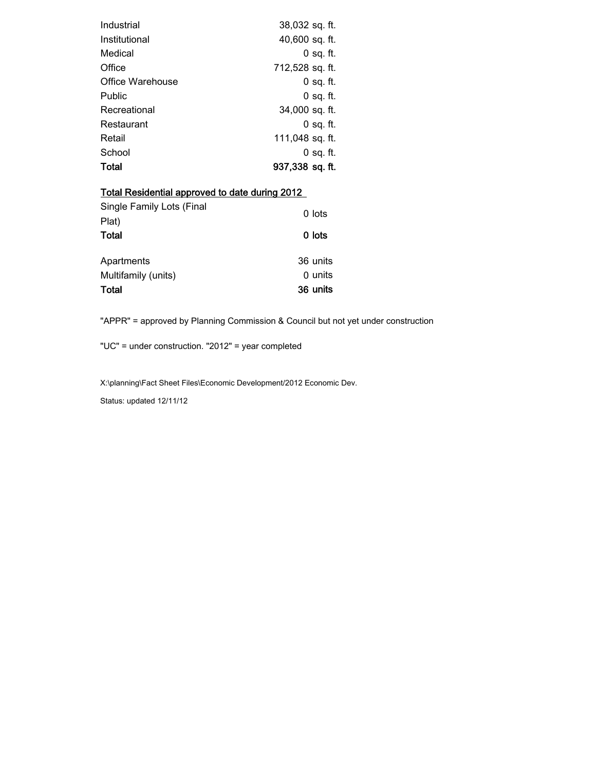| Industrial       | 38,032 sq. ft.  |
|------------------|-----------------|
| Institutional    | 40,600 sq. ft.  |
| Medical          | $0$ sq. ft.     |
| Office           | 712,528 sq. ft. |
| Office Warehouse | $0$ sq. ft.     |
| Public           | 0 sq. ft.       |
| Recreational     | 34,000 sq. ft.  |
| Restaurant       | 0 sq. ft.       |
| Retail           | 111,048 sq. ft. |
| School           | 0 sq. ft.       |
| Total            | 937,338 sq. ft. |

| <b>Total Residential approved to date during 2012</b> |          |  |  |  |
|-------------------------------------------------------|----------|--|--|--|
| Single Family Lots (Final<br>Plat)                    | 0 lots   |  |  |  |
| Total                                                 | 0 lots   |  |  |  |
| Apartments                                            | 36 units |  |  |  |
| Multifamily (units)                                   | 0 units  |  |  |  |
| Total                                                 | 36 units |  |  |  |

"APPR" = approved by Planning Commission & Council but not yet under construction

"UC" = under construction. "2012" = year completed

X:\planning\Fact Sheet Files\Economic Development/2012 Economic Dev.

Status: updated 12/11/12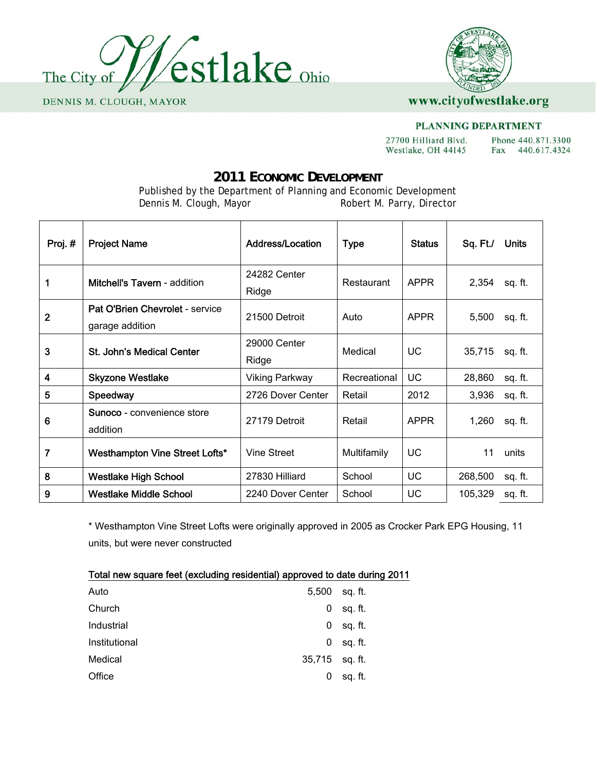



#### **PLANNING DEPARTMENT**

27700 Hilliard Blvd. Phone 440.871.3300 Westlake, OH 44145 Fax 440.617.4324

# **2011 ECONOMIC DEVELOPMENT**

Published by the Department of Planning and Economic Development<br>Dennis M. Clough, Mayor Robert M. Parry, Director Robert M. Parry, Director

| Proj.#         | <b>Project Name</b>                                | <b>Address/Location</b> | <b>Type</b>  | <b>Status</b> | Sq. Ft./ | <b>Units</b> |
|----------------|----------------------------------------------------|-------------------------|--------------|---------------|----------|--------------|
| 1              | <b>Mitchell's Tavern</b> - addition                | 24282 Center<br>Ridge   | Restaurant   | <b>APPR</b>   | 2,354    | sq. ft.      |
| $\overline{2}$ | Pat O'Brien Chevrolet - service<br>garage addition | 21500 Detroit           | Auto         | <b>APPR</b>   | 5,500    | sq. ft.      |
| 3              | <b>St. John's Medical Center</b>                   | 29000 Center<br>Ridge   | Medical      | UC            | 35,715   | sq. ft.      |
| 4              | <b>Skyzone Westlake</b>                            | <b>Viking Parkway</b>   | Recreational | UC            | 28,860   | sq. ft.      |
| 5              | Speedway                                           | 2726 Dover Center       | Retail       | 2012          | 3,936    | sq. ft.      |
| 6              | <b>Sunoco</b> - convenience store<br>addition      | 27179 Detroit           | Retail       | <b>APPR</b>   | 1,260    | sq. ft.      |
| 7              | Westhampton Vine Street Lofts*                     | <b>Vine Street</b>      | Multifamily  | UC            | 11       | units        |
| 8              | <b>Westlake High School</b>                        | 27830 Hilliard          | School       | UC            | 268,500  | sq. ft.      |
| 9              | <b>Westlake Middle School</b>                      | 2240 Dover Center       | School       | UC            | 105,329  | sq. ft.      |

\* Westhampton Vine Street Lofts were originally approved in 2005 as Crocker Park EPG Housing, 11 units, but were never constructed

| Total new square feet (excluding residential) approved to date during 2011 |                  |         |
|----------------------------------------------------------------------------|------------------|---------|
| Auto                                                                       | 5,500            | sg. ft. |
| Church                                                                     | 0                | sq. ft. |
| Industrial                                                                 | 0                | sq. ft. |
| Institutional                                                              | 0                | sq. ft. |
| Medical                                                                    | $35,715$ sq. ft. |         |
| Office                                                                     | 0                | sq. ft. |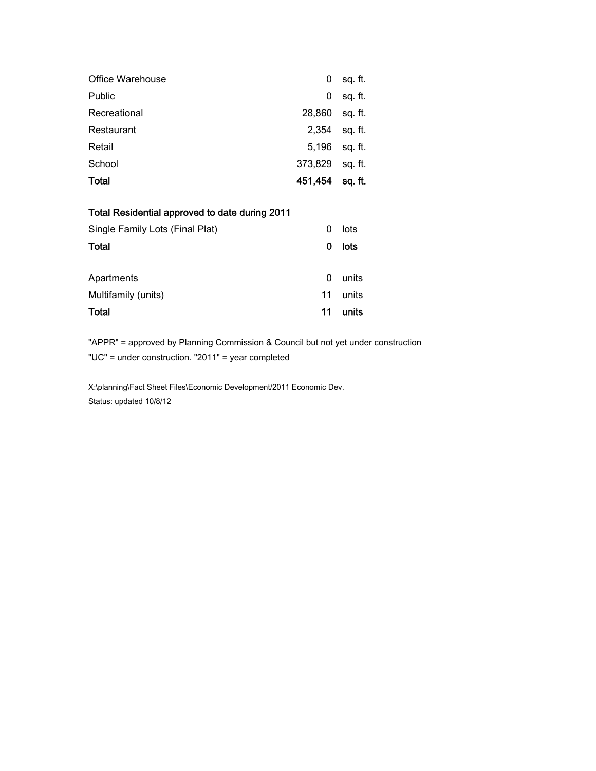| <b>Office Warehouse</b> | 0       | sq. ft. |
|-------------------------|---------|---------|
| Public                  | 0       | sq. ft. |
| Recreational            | 28,860  | sq. ft. |
| Restaurant              | 2,354   | sq. ft. |
| Retail                  | 5,196   | sq. ft. |
| School                  | 373,829 | sq. ft. |
| Total                   | 451,454 | sq. ft. |

## Total Residential approved to date during 2011

| Single Family Lots (Final Plat) |    | lots  |
|---------------------------------|----|-------|
| <b>Total</b>                    |    | lots  |
| Apartments                      | 0  | units |
| Multifamily (units)             | 11 | units |
| Total                           | 11 | units |

"APPR" = approved by Planning Commission & Council but not yet under construction "UC" = under construction. "2011" = year completed

X:\planning\Fact Sheet Files\Economic Development/2011 Economic Dev. Status: updated 10/8/12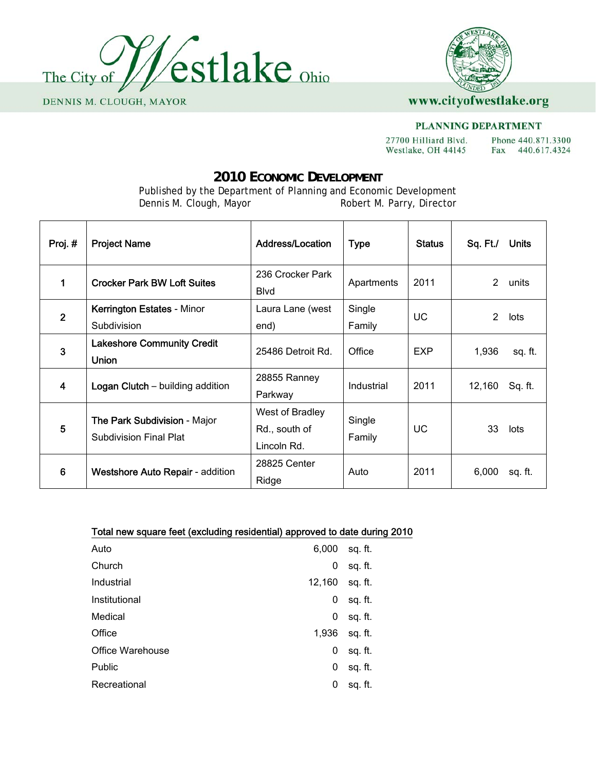



#### PLANNING DEPARTMENT

27700 Hilliard Blvd. Phone 440.871.3300 Westlake, OH 44145 Fax 440.617.4324

## **2010 ECONOMIC DEVELOPMENT**

Published by the Department of Planning and Economic Development<br>Dennis M. Clough, Mayor Robert M. Parry, Director Robert M. Parry, Director

| Proj. #        | <b>Project Name</b>                                                  | <b>Address/Location</b>                         | <b>Type</b>      | <b>Status</b> | Sq. Ft./       | <b>Units</b> |
|----------------|----------------------------------------------------------------------|-------------------------------------------------|------------------|---------------|----------------|--------------|
| 1              | <b>Crocker Park BW Loft Suites</b>                                   | 236 Crocker Park<br><b>B</b> lvd                | Apartments       | 2011          | $\mathcal{L}$  | units        |
| $\overline{2}$ | Kerrington Estates - Minor<br>Subdivision                            | Laura Lane (west<br>end)                        | Single<br>Family | UC            | $\overline{2}$ | lots         |
| 3              | <b>Lakeshore Community Credit</b><br><b>Union</b>                    | 25486 Detroit Rd.                               | Office           | <b>EXP</b>    | 1,936          | sq. ft.      |
| 4              | <b>Logan Clutch</b> – building addition                              | 28855 Ranney<br>Parkway                         | Industrial       | 2011          | 12,160         | Sq. ft.      |
| 5              | <b>The Park Subdivision - Major</b><br><b>Subdivision Final Plat</b> | West of Bradley<br>Rd., south of<br>Lincoln Rd. | Single<br>Family | UC            | 33             | lots         |
| $6\phantom{1}$ | <b>Westshore Auto Repair - addition</b>                              | 28825 Center<br>Ridge                           | Auto             | 2011          | 6,000          | sq. ft.      |

#### Total new square feet (excluding residential) approved to date during 2010

| Auto             | 6,000  | sq. ft. |
|------------------|--------|---------|
| Church           | 0      | sq. ft. |
| Industrial       | 12,160 | sq. ft. |
| Institutional    | 0      | sq. ft. |
| Medical          | 0      | sq. ft. |
| Office           | 1,936  | sq. ft. |
| Office Warehouse | 0      | sq. ft. |
| <b>Public</b>    | 0      | sq. ft. |
| Recreational     | 0      | sq. ft. |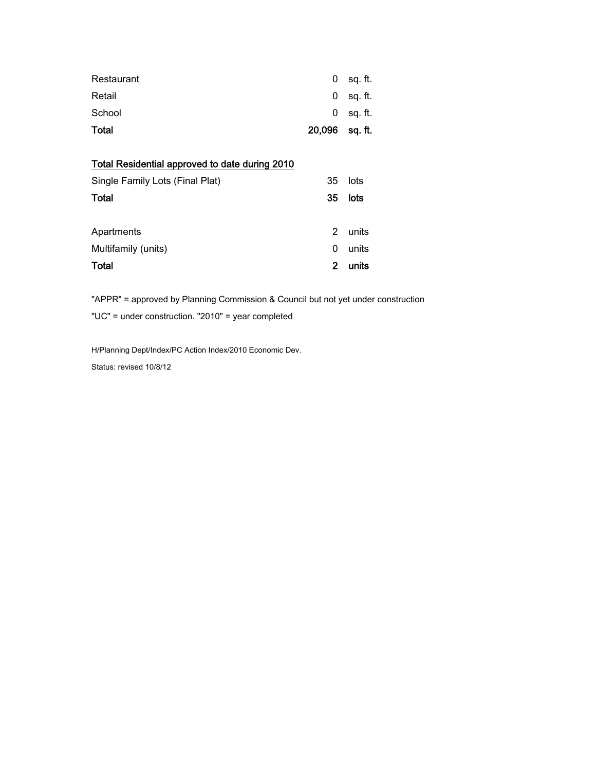| Restaurant                                                                        | 0             | sq. ft. |
|-----------------------------------------------------------------------------------|---------------|---------|
| Retail                                                                            | 0             | sq. ft. |
| School                                                                            | 0             | sq. ft. |
| Total                                                                             | 20,096        | sq. ft. |
| Total Residential approved to date during 2010<br>Single Family Lots (Final Plat) | 35            | lots    |
| Total                                                                             | 35            | lots    |
| Apartments                                                                        | $\mathcal{P}$ | units   |
| Multifamily (units)                                                               | 0             | units   |
| <b>Total</b>                                                                      | 2             | units   |

"APPR" = approved by Planning Commission & Council but not yet under construction

"UC" = under construction. "2010" = year completed

H/Planning Dept/Index/PC Action Index/2010 Economic Dev.

Status: revised 10/8/12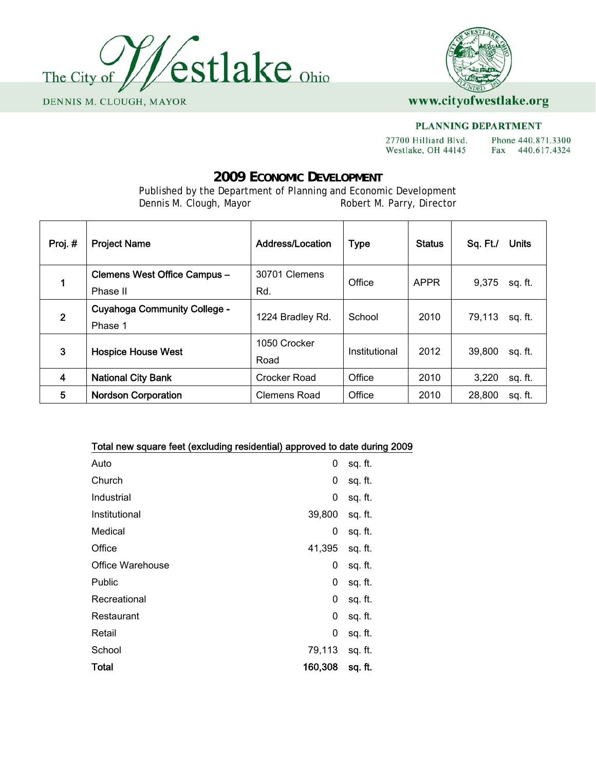



#### PLANNING DEPARTMENT

27700 Hilliard Blvd. Phone 440.871.3300 Westlake, OH 44145 Fax 440.617.4324

# **2009 ECONOMIC DEVELOPMENT**

Published by the Department of Planning and Economic Development<br>Dennis M. Clough, Mayor Robert M. Parry, Director Robert M. Parry, Director

| Proj.#         | <b>Project Name</b>                 | <b>Address/Location</b> | <b>Type</b>   | <b>Status</b> | Sq. Ft./<br>Units |
|----------------|-------------------------------------|-------------------------|---------------|---------------|-------------------|
| 1              | Clemens West Office Campus -        | 30701 Clemens           | Office        | <b>APPR</b>   | 9,375             |
|                | Phase II                            | Rd.                     |               |               | sq. ft.           |
| $\overline{2}$ | <b>Cuyahoga Community College -</b> | 1224 Bradley Rd.        | School        | 2010          | 79,113<br>sq. ft. |
|                | Phase 1                             |                         |               |               |                   |
| 3              | <b>Hospice House West</b>           | 1050 Crocker            | Institutional | 2012          | 39,800            |
|                |                                     | Road                    |               | sq. ft.       |                   |
| 4              | <b>National City Bank</b>           | Crocker Road            | Office        | 2010          | 3,220<br>sq. ft.  |
| 5              | <b>Nordson Corporation</b>          | Clemens Road            | Office        | 2010          | 28,800<br>sq. ft. |

| Total new square feet (excluding residential) approved to date during 2009 |         |         |
|----------------------------------------------------------------------------|---------|---------|
| Auto                                                                       | 0       | sq. ft. |
| Church                                                                     | 0       | sq. ft. |
| Industrial                                                                 | 0       | sq. ft. |
| Institutional                                                              | 39,800  | sq. ft. |
| Medical                                                                    | 0       | sq. ft. |
| Office                                                                     | 41,395  | sq. ft. |
| Office Warehouse                                                           | 0       | sq. ft. |
| <b>Public</b>                                                              | 0       | sq. ft. |
| Recreational                                                               | 0       | sq. ft. |
| Restaurant                                                                 | 0       | sq. ft. |
| Retail                                                                     | 0       | sq. ft. |
| School                                                                     | 79,113  | sq. ft. |
| <b>Total</b>                                                               | 160,308 | sq. ft. |